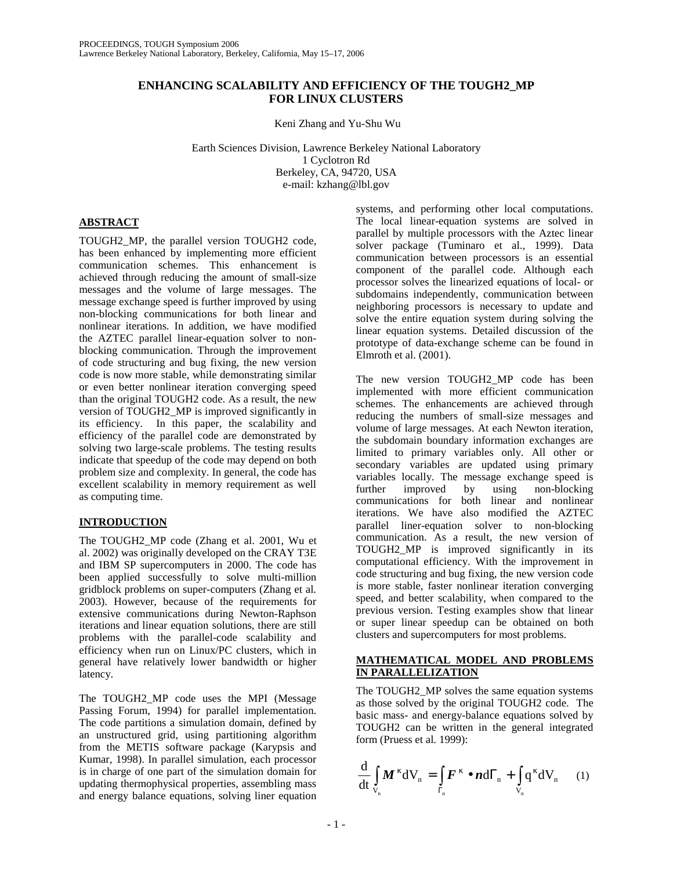# **ENHANCING SCALABILITY AND EFFICIENCY OF THE TOUGH2\_MP FOR LINUX CLUSTERS**

Keni Zhang and Yu-Shu Wu

Earth Sciences Division, Lawrence Berkeley National Laboratory 1 Cyclotron Rd Berkeley, CA, 94720, USA e-mail: kzhang@lbl.gov

# **ABSTRACT**

TOUGH2\_MP, the parallel version TOUGH2 code, has been enhanced by implementing more efficient communication schemes. This enhancement is achieved through reducing the amount of small-size messages and the volume of large messages. The message exchange speed is further improved by using non-blocking communications for both linear and nonlinear iterations. In addition, we have modified the AZTEC parallel linear-equation solver to nonblocking communication. Through the improvement of code structuring and bug fixing, the new version code is now more stable, while demonstrating similar or even better nonlinear iteration converging speed than the original TOUGH2 code. As a result, the new version of TOUGH2\_MP is improved significantly in its efficiency. In this paper, the scalability and efficiency of the parallel code are demonstrated by solving two large-scale problems. The testing results indicate that speedup of the code may depend on both problem size and complexity. In general, the code has excellent scalability in memory requirement as well as computing time.

# **INTRODUCTION**

The TOUGH2\_MP code (Zhang et al. 2001, Wu et al. 2002) was originally developed on the CRAY T3E and IBM SP supercomputers in 2000. The code has been applied successfully to solve multi-million gridblock problems on super-computers (Zhang et al. 2003). However, because of the requirements for extensive communications during Newton-Raphson iterations and linear equation solutions, there are still problems with the parallel-code scalability and efficiency when run on Linux/PC clusters, which in general have relatively lower bandwidth or higher latency.

The TOUGH2\_MP code uses the MPI (Message Passing Forum, 1994) for parallel implementation. The code partitions a simulation domain, defined by an unstructured grid, using partitioning algorithm from the METIS software package (Karypsis and Kumar, 1998). In parallel simulation, each processor is in charge of one part of the simulation domain for updating thermophysical properties, assembling mass and energy balance equations, solving liner equation

systems, and performing other local computations. The local linear-equation systems are solved in parallel by multiple processors with the Aztec linear solver package (Tuminaro et al., 1999). Data communication between processors is an essential component of the parallel code. Although each processor solves the linearized equations of local- or subdomains independently, communication between neighboring processors is necessary to update and solve the entire equation system during solving the linear equation systems. Detailed discussion of the prototype of data-exchange scheme can be found in Elmroth et al. (2001).

The new version TOUGH2\_MP code has been implemented with more efficient communication schemes. The enhancements are achieved through reducing the numbers of small-size messages and volume of large messages. At each Newton iteration, the subdomain boundary information exchanges are limited to primary variables only. All other or secondary variables are updated using primary variables locally. The message exchange speed is further improved by using non-blocking further improved by using non-blocking communications for both linear and nonlinear iterations. We have also modified the AZTEC parallel liner-equation solver to non-blocking communication. As a result, the new version of TOUGH2\_MP is improved significantly in its computational efficiency. With the improvement in code structuring and bug fixing, the new version code is more stable, faster nonlinear iteration converging speed, and better scalability, when compared to the previous version. Testing examples show that linear or super linear speedup can be obtained on both clusters and supercomputers for most problems.

# **MATHEMATICAL MODEL AND PROBLEMS IN PARALLELIZATION**

The TOUGH2 MP solves the same equation systems as those solved by the original TOUGH2 code. The basic mass- and energy-balance equations solved by TOUGH2 can be written in the general integrated form (Pruess et al. 1999):

$$
\frac{\mathrm{d}}{\mathrm{d}t} \int_{V_n} \boldsymbol{M}^{\kappa} dV_n = \int_{\Gamma_n} \boldsymbol{F}^{\kappa} \bullet \boldsymbol{n} d\Gamma_n + \int_{V_n} q^{\kappa} dV_n \qquad (1)
$$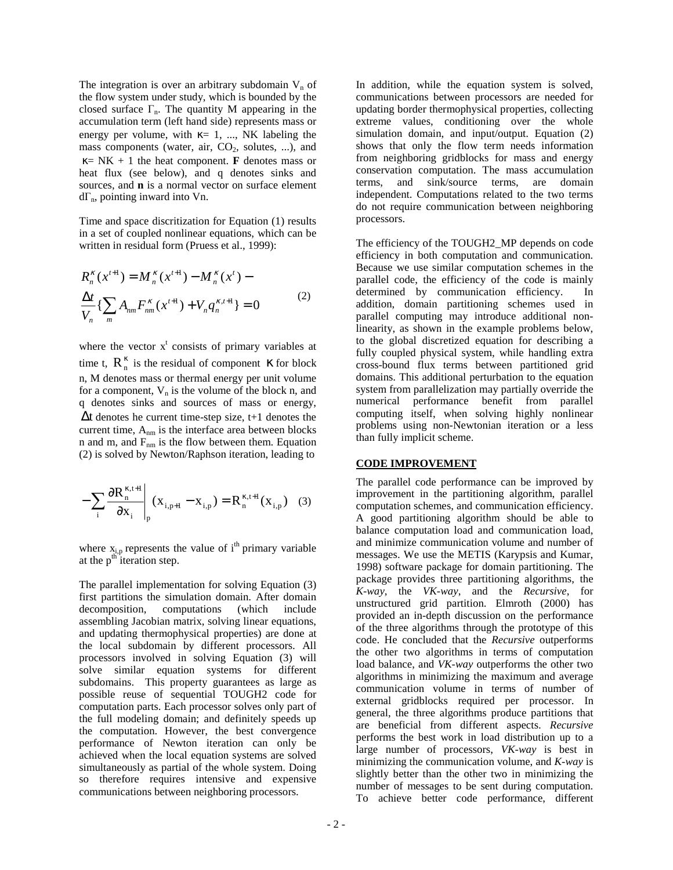The integration is over an arbitrary subdomain  $V_n$  of the flow system under study, which is bounded by the closed surface  $\Gamma_n$ . The quantity M appearing in the accumulation term (left hand side) represents mass or energy per volume, with  $\kappa = 1, \dots, NK$  labeling the mass components (water, air,  $CO<sub>2</sub>$ , solutes, ...), and  $K = NK + 1$  the heat component. **F** denotes mass or heat flux (see below), and q denotes sinks and sources, and **n** is a normal vector on surface element dΓn, pointing inward into Vn.

Time and space discritization for Equation (1) results in a set of coupled nonlinear equations, which can be written in residual form (Pruess et al., 1999):

$$
R_n^{\kappa}(x^{t+1}) = M_n^{\kappa}(x^{t+1}) - M_n^{\kappa}(x^t) -
$$
  
\n
$$
\frac{\Delta t}{V_n} \{ \sum_m A_{nm} F_{nm}^{\kappa}(x^{t+1}) + V_n q_n^{\kappa, t+1} \} = 0
$$
\n(2)

where the vector  $x^t$  consists of primary variables at time t,  $\mathbf{R}_n^k$  is the residual of component  $\kappa$  for block n, M denotes mass or thermal energy per unit volume for a component,  $V_n$  is the volume of the block n, and q denotes sinks and sources of mass or energy,  $\Delta t$  denotes he current time-step size, t+1 denotes the current time,  $A_{nm}$  is the interface area between blocks n and m, and  $F_{nm}$  is the flow between them. Equation (2) is solved by Newton/Raphson iteration, leading to

$$
-\sum_{i} \frac{\partial R_{n}^{\kappa,t+1}}{\partial x_{i}} \bigg|_{p} (x_{i,p+1} - x_{i,p}) = R_{n}^{\kappa,t+1} (x_{i,p}) \quad (3)
$$

where  $x_{i,p}$  represents the value of i<sup>th</sup> primary variable at the  $p<sup>th</sup>$  iteration step.

The parallel implementation for solving Equation (3) first partitions the simulation domain. After domain decomposition, computations (which include assembling Jacobian matrix, solving linear equations, and updating thermophysical properties) are done at the local subdomain by different processors. All processors involved in solving Equation (3) will solve similar equation systems for different subdomains. This property guarantees as large as possible reuse of sequential TOUGH2 code for computation parts. Each processor solves only part of the full modeling domain; and definitely speeds up the computation. However, the best convergence performance of Newton iteration can only be achieved when the local equation systems are solved simultaneously as partial of the whole system. Doing so therefore requires intensive and expensive communications between neighboring processors.

In addition, while the equation system is solved, communications between processors are needed for updating border thermophysical properties, collecting extreme values, conditioning over the whole simulation domain, and input/output. Equation (2) shows that only the flow term needs information from neighboring gridblocks for mass and energy conservation computation. The mass accumulation terms, and sink/source terms, are domain independent. Computations related to the two terms do not require communication between neighboring processors.

The efficiency of the TOUGH2\_MP depends on code efficiency in both computation and communication. Because we use similar computation schemes in the parallel code, the efficiency of the code is mainly determined by communication efficiency. In addition, domain partitioning schemes used in parallel computing may introduce additional nonlinearity, as shown in the example problems below, to the global discretized equation for describing a fully coupled physical system, while handling extra cross-bound flux terms between partitioned grid domains. This additional perturbation to the equation system from parallelization may partially override the numerical performance benefit from parallel computing itself, when solving highly nonlinear problems using non-Newtonian iteration or a less than fully implicit scheme.

#### **CODE IMPROVEMENT**

The parallel code performance can be improved by improvement in the partitioning algorithm, parallel computation schemes, and communication efficiency. A good partitioning algorithm should be able to balance computation load and communication load, and minimize communication volume and number of messages. We use the METIS (Karypsis and Kumar, 1998) software package for domain partitioning. The package provides three partitioning algorithms, the *K-way*, the *VK-way*, and the *Recursive*, for unstructured grid partition. Elmroth (2000) has provided an in-depth discussion on the performance of the three algorithms through the prototype of this code. He concluded that the *Recursive* outperforms the other two algorithms in terms of computation load balance, and *VK-way* outperforms the other two algorithms in minimizing the maximum and average communication volume in terms of number of external gridblocks required per processor. In general, the three algorithms produce partitions that are beneficial from different aspects. *Recursive* performs the best work in load distribution up to a large number of processors, *VK-way* is best in minimizing the communication volume, and *K-way* is slightly better than the other two in minimizing the number of messages to be sent during computation. To achieve better code performance, different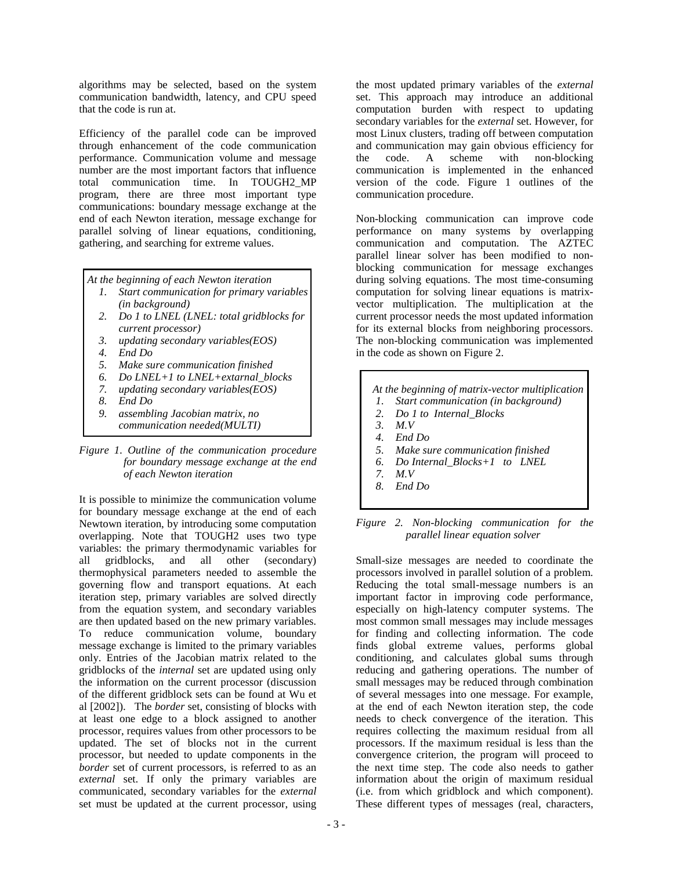algorithms may be selected, based on the system communication bandwidth, latency, and CPU speed that the code is run at.

Efficiency of the parallel code can be improved through enhancement of the code communication performance. Communication volume and message number are the most important factors that influence total communication time. In TOUGH2\_MP program, there are three most important type communications: boundary message exchange at the end of each Newton iteration, message exchange for parallel solving of linear equations, conditioning, gathering, and searching for extreme values.

 *At the beginning of each Newton iteration*

- *1. Start communication for primary variables (in background)*
- *2. Do 1 to LNEL (LNEL: total gridblocks for current processor)*
- *3. updating secondary variables(EOS)*
- *4. End Do*
- *5. Make sure communication finished*
- *6. Do LNEL+1 to LNEL+extarnal\_blocks*
- *7. updating secondary variables(EOS)*
- *8. End Do*
- *9. assembling Jacobian matrix, no communication needed(MULTI)*



It is possible to minimize the communication volume for boundary message exchange at the end of each Newtown iteration, by introducing some computation overlapping. Note that TOUGH2 uses two type variables: the primary thermodynamic variables for all gridblocks, and all other (secondary) thermophysical parameters needed to assemble the governing flow and transport equations. At each iteration step, primary variables are solved directly from the equation system, and secondary variables are then updated based on the new primary variables. To reduce communication volume, boundary message exchange is limited to the primary variables only. Entries of the Jacobian matrix related to the gridblocks of the *internal* set are updated using only the information on the current processor (discussion of the different gridblock sets can be found at Wu et al [2002]). The *border* set, consisting of blocks with at least one edge to a block assigned to another processor, requires values from other processors to be updated. The set of blocks not in the current processor, but needed to update components in the *border* set of current processors, is referred to as an *external* set. If only the primary variables are communicated, secondary variables for the *external* set must be updated at the current processor, using

the most updated primary variables of the *external* set. This approach may introduce an additional computation burden with respect to updating secondary variables for the *external* set. However, for most Linux clusters, trading off between computation and communication may gain obvious efficiency for<br>the code. A scheme with non-blocking the code. A scheme with non-blocking communication is implemented in the enhanced version of the code. Figure 1 outlines of the communication procedure.

Non-blocking communication can improve code performance on many systems by overlapping communication and computation. The AZTEC parallel linear solver has been modified to nonblocking communication for message exchanges during solving equations. The most time-consuming computation for solving linear equations is matrixvector multiplication. The multiplication at the current processor needs the most updated information for its external blocks from neighboring processors. The non-blocking communication was implemented in the code as shown on Figure 2.

- *At the beginning of matrix-vector multiplication 1. Start communication (in background) 2. Do 1 to Internal\_Blocks 3. M.V 4. End Do 5. Make sure communication finished 6. Do Internal\_Blocks+1 to LNEL*
- *7. M.V*
- *8. End Do*

### *Figure 2. Non-blocking communication for the parallel linear equation solver*

Small-size messages are needed to coordinate the processors involved in parallel solution of a problem. Reducing the total small-message numbers is an important factor in improving code performance, especially on high-latency computer systems. The most common small messages may include messages for finding and collecting information. The code finds global extreme values, performs global conditioning, and calculates global sums through reducing and gathering operations. The number of small messages may be reduced through combination of several messages into one message. For example, at the end of each Newton iteration step, the code needs to check convergence of the iteration. This requires collecting the maximum residual from all processors. If the maximum residual is less than the convergence criterion, the program will proceed to the next time step. The code also needs to gather information about the origin of maximum residual (i.e. from which gridblock and which component). These different types of messages (real, characters,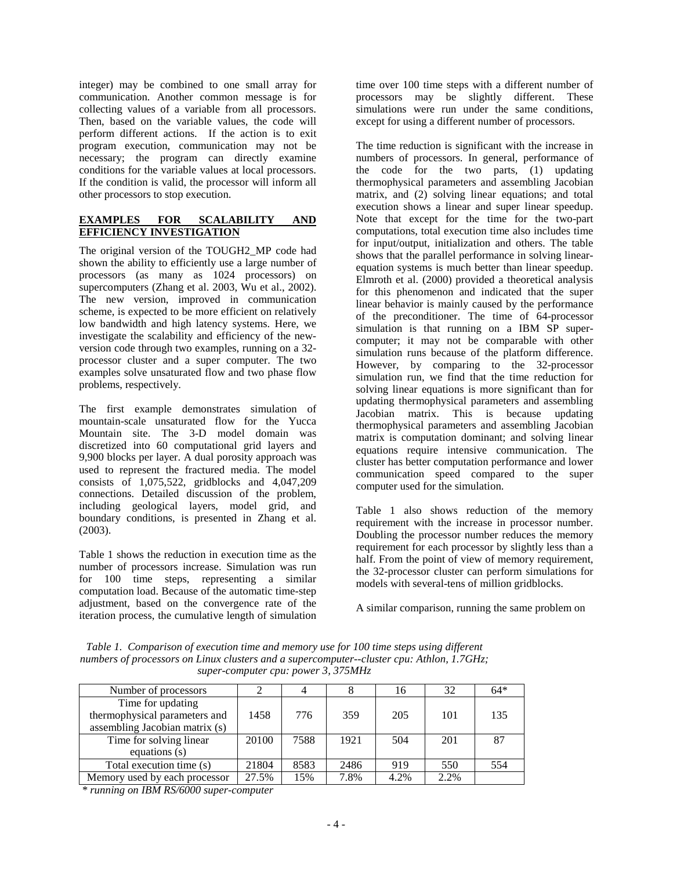integer) may be combined to one small array for communication. Another common message is for collecting values of a variable from all processors. Then, based on the variable values, the code will perform different actions. If the action is to exit program execution, communication may not be necessary; the program can directly examine conditions for the variable values at local processors. If the condition is valid, the processor will inform all other processors to stop execution.

### **EXAMPLES FOR SCALABILITY AND EFFICIENCY INVESTIGATION**

The original version of the TOUGH2\_MP code had shown the ability to efficiently use a large number of processors (as many as 1024 processors) on supercomputers (Zhang et al. 2003, Wu et al., 2002). The new version, improved in communication scheme, is expected to be more efficient on relatively low bandwidth and high latency systems. Here, we investigate the scalability and efficiency of the newversion code through two examples, running on a 32 processor cluster and a super computer. The two examples solve unsaturated flow and two phase flow problems, respectively.

The first example demonstrates simulation of mountain-scale unsaturated flow for the Yucca Mountain site. The 3-D model domain was discretized into 60 computational grid layers and 9,900 blocks per layer. A dual porosity approach was used to represent the fractured media. The model consists of 1,075,522, gridblocks and 4,047,209 connections. Detailed discussion of the problem, including geological layers, model grid, and boundary conditions, is presented in Zhang et al. (2003).

Table 1 shows the reduction in execution time as the number of processors increase. Simulation was run for 100 time steps, representing a similar computation load. Because of the automatic time-step adjustment, based on the convergence rate of the iteration process, the cumulative length of simulation

time over 100 time steps with a different number of processors may be slightly different. These simulations were run under the same conditions, except for using a different number of processors.

The time reduction is significant with the increase in numbers of processors. In general, performance of the code for the two parts, (1) updating thermophysical parameters and assembling Jacobian matrix, and (2) solving linear equations; and total execution shows a linear and super linear speedup. Note that except for the time for the two-part computations, total execution time also includes time for input/output, initialization and others. The table shows that the parallel performance in solving linearequation systems is much better than linear speedup. Elmroth et al. (2000) provided a theoretical analysis for this phenomenon and indicated that the super linear behavior is mainly caused by the performance of the preconditioner. The time of 64-processor simulation is that running on a IBM SP supercomputer; it may not be comparable with other simulation runs because of the platform difference. However, by comparing to the 32-processor simulation run, we find that the time reduction for solving linear equations is more significant than for updating thermophysical parameters and assembling Jacobian matrix. This is because updating thermophysical parameters and assembling Jacobian matrix is computation dominant; and solving linear equations require intensive communication. The cluster has better computation performance and lower communication speed compared to the super computer used for the simulation.

Table 1 also shows reduction of the memory requirement with the increase in processor number. Doubling the processor number reduces the memory requirement for each processor by slightly less than a half. From the point of view of memory requirement, the 32-processor cluster can perform simulations for models with several-tens of million gridblocks.

A similar comparison, running the same problem on

*Table 1. Comparison of execution time and memory use for 100 time steps using different numbers of processors on Linux clusters and a supercomputer--cluster cpu: Athlon, 1.7GHz; super-computer cpu: power 3, 375MHz* 

| Number of processors           |       |      |      | 16   | 32   | $64*$ |
|--------------------------------|-------|------|------|------|------|-------|
| Time for updating              |       |      |      |      |      |       |
| thermophysical parameters and  | 1458  | 776  | 359  | 205  | 101  | 135   |
| assembling Jacobian matrix (s) |       |      |      |      |      |       |
| Time for solving linear        | 20100 | 7588 | 1921 | 504  | 201  | 87    |
| equations $(s)$                |       |      |      |      |      |       |
| Total execution time (s)       | 21804 | 8583 | 2486 | 919  | 550  | 554   |
| Memory used by each processor  | 27.5% | 15%  | 7.8% | 4.2% | 2.2% |       |

*\* running on IBM RS/6000 super-computer*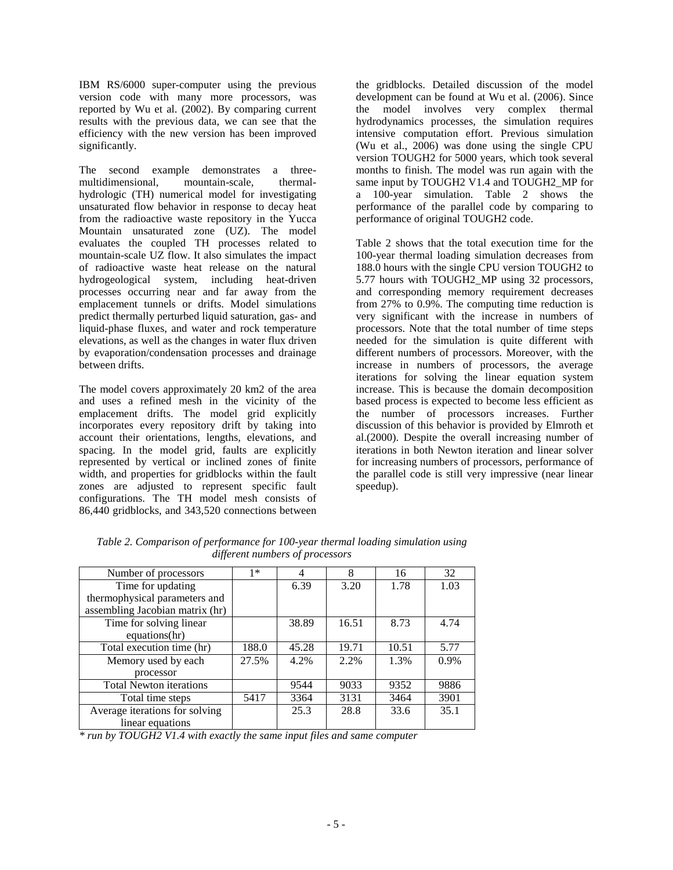IBM RS/6000 super-computer using the previous version code with many more processors, was reported by Wu et al. (2002). By comparing current results with the previous data, we can see that the efficiency with the new version has been improved significantly.

The second example demonstrates a threemultidimensional, mountain-scale, thermalhydrologic (TH) numerical model for investigating unsaturated flow behavior in response to decay heat from the radioactive waste repository in the Yucca Mountain unsaturated zone (UZ). The model evaluates the coupled TH processes related to mountain-scale UZ flow. It also simulates the impact of radioactive waste heat release on the natural hydrogeological system, including heat-driven processes occurring near and far away from the emplacement tunnels or drifts. Model simulations predict thermally perturbed liquid saturation, gas- and liquid-phase fluxes, and water and rock temperature elevations, as well as the changes in water flux driven by evaporation/condensation processes and drainage between drifts.

The model covers approximately 20 km2 of the area and uses a refined mesh in the vicinity of the emplacement drifts. The model grid explicitly incorporates every repository drift by taking into account their orientations, lengths, elevations, and spacing. In the model grid, faults are explicitly represented by vertical or inclined zones of finite width, and properties for gridblocks within the fault zones are adjusted to represent specific fault configurations. The TH model mesh consists of 86,440 gridblocks, and 343,520 connections between

the gridblocks. Detailed discussion of the model development can be found at Wu et al. (2006). Since the model involves very complex thermal hydrodynamics processes, the simulation requires intensive computation effort. Previous simulation (Wu et al., 2006) was done using the single CPU version TOUGH2 for 5000 years, which took several months to finish. The model was run again with the same input by TOUGH2 V1.4 and TOUGH2\_MP for a 100-year simulation. Table 2 shows the performance of the parallel code by comparing to performance of original TOUGH2 code.

Table 2 shows that the total execution time for the 100-year thermal loading simulation decreases from 188.0 hours with the single CPU version TOUGH2 to 5.77 hours with TOUGH2\_MP using 32 processors, and corresponding memory requirement decreases from 27% to 0.9%. The computing time reduction is very significant with the increase in numbers of processors. Note that the total number of time steps needed for the simulation is quite different with different numbers of processors. Moreover, with the increase in numbers of processors, the average iterations for solving the linear equation system increase. This is because the domain decomposition based process is expected to become less efficient as the number of processors increases. Further discussion of this behavior is provided by Elmroth et al.(2000). Despite the overall increasing number of iterations in both Newton iteration and linear solver for increasing numbers of processors, performance of the parallel code is still very impressive (near linear speedup).

| Number of processors            | $1*$  | 4     | 8     | 16    | 32      |
|---------------------------------|-------|-------|-------|-------|---------|
| Time for updating               |       | 6.39  | 3.20  | 1.78  | 1.03    |
| thermophysical parameters and   |       |       |       |       |         |
| assembling Jacobian matrix (hr) |       |       |       |       |         |
| Time for solving linear         |       | 38.89 | 16.51 | 8.73  | 4.74    |
| equations(hr)                   |       |       |       |       |         |
| Total execution time (hr)       | 188.0 | 45.28 | 19.71 | 10.51 | 5.77    |
| Memory used by each             | 27.5% | 4.2%  | 2.2%  | 1.3%  | $0.9\%$ |
| processor                       |       |       |       |       |         |
| <b>Total Newton iterations</b>  |       | 9544  | 9033  | 9352  | 9886    |
| Total time steps                | 5417  | 3364  | 3131  | 3464  | 3901    |
| Average iterations for solving  |       | 25.3  | 28.8  | 33.6  | 35.1    |
| linear equations                |       |       |       |       |         |

*Table 2. Comparison of performance for 100-year thermal loading simulation using different numbers of processors* 

*\* run by TOUGH2 V1.4 with exactly the same input files and same computer*